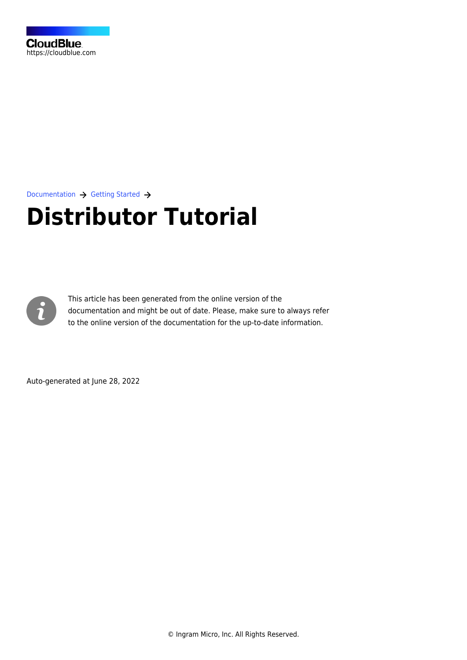

[Documentation](https://connect.cloudblue.com/documentation)  $\rightarrow$  [Getting Started](https://connect.cloudblue.com/community/getting-started/)  $\rightarrow$ 

# **[Distributor Tutorial](https://connect.cloudblue.com/community/getting-started/distributor/)**



This article has been generated from the online version of the documentation and might be out of date. Please, make sure to always refer to the online version of the documentation for the up-to-date information.

Auto-generated at June 28, 2022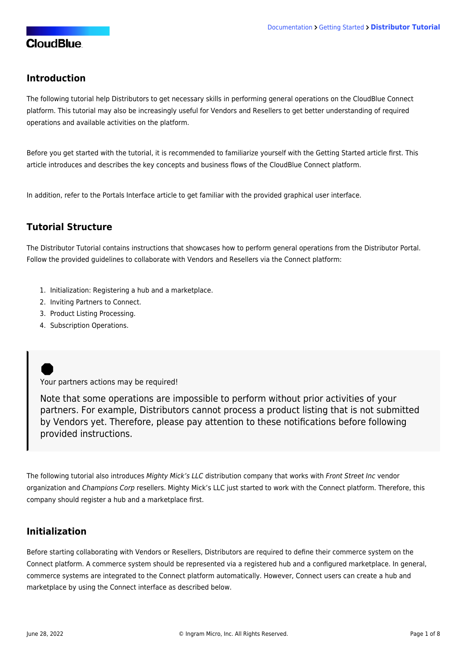#### **Introduction**

The following tutorial help Distributors to get necessary skills in performing general operations on the CloudBlue Connect platform. This tutorial may also be increasingly useful for Vendors and Resellers to get better understanding of required operations and available activities on the platform.

Before you get started with the tutorial, it is recommended to familiarize yourself with the [Getting Started](https://connect.cloudblue.com/community/getting-started) article first. This article introduces and describes the key concepts and business flows of the CloudBlue Connect platform.

In addition, refer to the [Portals Interface](https://connect.cloudblue.com/community/getting-started/portals/) article to get familiar with the provided graphical user interface.

### **Tutorial Structure**

The Distributor Tutorial contains instructions that showcases how to perform general operations from the Distributor Portal. Follow the provided guidelines to collaborate with Vendors and Resellers via the Connect platform:

- 1. [Initialization](https://connect.cloudblue.com/community/getting-started/distributor/#Initialization): Registering a [hub](https://connect.cloudblue.com/community/getting-started/distributor/#Hub_Registration) and a [marketplace](https://connect.cloudblue.com/community/getting-started/distributor/#Marketplace_Creation).
- 2. [Inviting Partners to Connect.](https://connect.cloudblue.com/community/getting-started/distributor/partners/)
- 3. [Product Listing Processing](https://connect.cloudblue.com/community/getting-started/distributor/listings/).
- 4. [Subscription Operations](https://connect.cloudblue.com/community/getting-started/distributor/subscriptions/).

Your partners actions may be required!

Note that some operations are impossible to perform without prior activities of your partners. For example, Distributors cannot process a product listing that is not submitted by Vendors yet. Therefore, please pay attention to these notifications before following provided instructions.

The following tutorial also introduces Mighty Mick's LLC distribution company that works with Front Street Inc vendor organization and Champions Corp resellers. Mighty Mick's LLC just started to work with the Connect platform. Therefore, this company should register a hub and a marketplace first.

### **Initialization**

Before starting collaborating with Vendors or Resellers, Distributors are required to define their commerce system on the Connect platform. A commerce system should be represented via a registered hub and a configured marketplace. In general, commerce systems are integrated to the Connect platform automatically. However, Connect users can create a hub and marketplace by using the Connect interface as described below.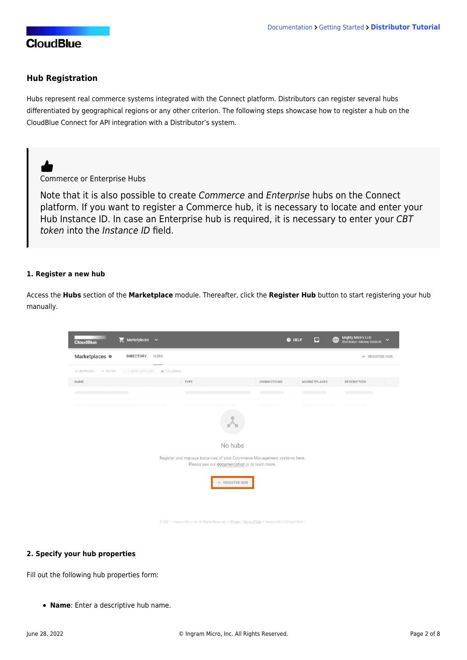#### **Hub Registration**

Hubs represent real commerce systems integrated with the Connect platform. Distributors can register several hubs differentiated by geographical regions or any other criterion. The following steps showcase how to register a hub on the CloudBlue Connect for API integration with a Distributor's system.



Note that it is also possible to create Commerce and Enterprise hubs on the Connect platform. If you want to register a Commerce hub, it is necessary to [locate and enter your](https://connect.cloudblue.com/community/modules/marketplaces/hubs/) [Hub Instance ID](https://connect.cloudblue.com/community/modules/marketplaces/hubs/). In case an Enterprise hub is required, it is necessary to enter your CBT token into the Instance ID field.

#### **1. Register a new hub**

Access the **Hubs** section of the **Marketplace** module. Thereafter, click the **Register Hub** button to start registering your hub manually.



#### **2. Specify your hub properties**

Fill out the following hub properties form:

**Name**: Enter a descriptive hub name.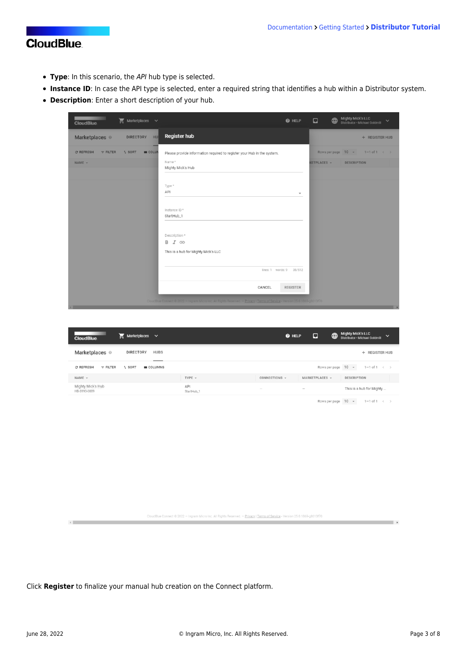- **Type**: In this scenario, the API hub type is selected.
- **Instance ID**: In case the API type is selected, enter a required string that identifies a hub within a Distributor system.
- **Description**: Enter a short description of your hub.

| <b>Marketplaces</b> $\vee$<br><b>CloudBlue</b>                   | <b>O</b> HELP                                                                                                               | ⊕<br>$\Box$ | <b>Mighty Mick's LLC</b><br>Distributor . Michael Goldmill |
|------------------------------------------------------------------|-----------------------------------------------------------------------------------------------------------------------------|-------------|------------------------------------------------------------|
| Marketplaces ©<br>HU<br><b>DIRECTORY</b>                         | <b>Register hub</b>                                                                                                         |             | + REGISTER HUB                                             |
| <b>III</b> COLUM<br><b>C REFRESH</b><br>$F$ FILTER<br>$T_4$ SORT | Please provide information required to register your Hub in the system.                                                     |             | Rows per page $10 \rightarrow 1-1$ of $1 \leftarrow$       |
| NAME -                                                           | Name*<br>Mighty Mick's Hub                                                                                                  | KETPLACES + | <b>DESCRIPTION</b>                                         |
|                                                                  | Type *<br>API<br>$\overline{\mathbf{v}}$                                                                                    |             |                                                            |
|                                                                  | Instance ID*<br>StartHub_1                                                                                                  |             |                                                            |
|                                                                  | Description*<br>B I GD                                                                                                      |             |                                                            |
|                                                                  | This is a hub for Mighty Mick's LLC                                                                                         |             |                                                            |
|                                                                  | lines: 1 words: 9 35/512                                                                                                    |             |                                                            |
|                                                                  | CANCEL<br><b>REGISTER</b>                                                                                                   |             |                                                            |
| $\sqrt{2}$                                                       | CloudBlue Connect @ 2022 - Ingram Micro Inc. All Rights Reserved. - Privacy   Terms of Service - Version 25.0 1869-g8613f70 |             |                                                            |

| $\sum$ Marketplaces $\sim$<br><b>CloudBlue</b>                     |                             | ⊡<br><b>O</b> HELP              | <b>Mighty Mick's LLC</b><br>⊕<br>$\checkmark$<br>Distributor . Michael Goldmill |
|--------------------------------------------------------------------|-----------------------------|---------------------------------|---------------------------------------------------------------------------------|
| Marketplaces ©<br><b>DIRECTORY</b><br><b>HUBS</b><br>_____         |                             |                                 | + REGISTER HUB                                                                  |
| <b>C REFRESH</b><br>$t_1$ SORT<br><b>III</b> COLUMNS<br>$=$ FILTER |                             |                                 | Rows per page $10 -$<br>$1 - 1$ of $1 \leq$                                     |
| $NAME$ $\sim$                                                      | TYPE $-$                    | CONNECTIONS -<br>MARKETPLACES v | <b>DESCRIPTION</b>                                                              |
| Mighty Mick's Hub<br>HB-3193-0089                                  | API<br>$\sim$<br>StartHub_1 | $\overline{\phantom{a}}$        | This is a hub for Mighty                                                        |
|                                                                    |                             |                                 |                                                                                 |

Rows per page  $10 \rightarrow 1-1$  of  $1 \leftarrow$ 

**Contract Contract of the Contract of the Contract of the Contract of the Contract of the Contract of the Contract of the Contract of the Contract of the Contract of the Contract of the Contract of the Contract of the Cont** 

CloudBlue Connect © 2022 - Ingram Micro Inc. All Rights Reserved. - Privacy | Terms of Service - Version 25.0.1869-g8613f70

Click **Register** to finalize your manual hub creation on the Connect platform.

 $\leftarrow$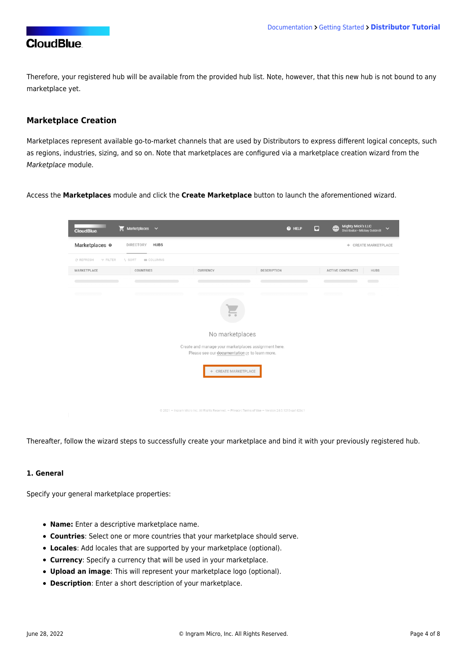Therefore, your registered hub will be available from the provided hub list. Note, however, that this new hub is not bound to any marketplace yet.

#### **Marketplace Creation**

Marketplaces represent available go-to-market channels that are used by Distributors to express different logical concepts, such as regions, industries, sizing, and so on. Note that marketplaces are configured via a marketplace creation wizard from the Marketplace module.

Access the **Marketplaces** module and click the **Create Marketplace** button to launch the aforementioned wizard.



Thereafter, follow the wizard steps to successfully create your marketplace and bind it with your previously registered hub.

#### **1. General**

Specify your general marketplace properties:

- **Name:** Enter a descriptive marketplace name.
- **Countries**: Select one or more countries that your marketplace should serve.
- **Locales**: Add locales that are supported by your marketplace (optional).
- **Currency**: Specify a currency that will be used in your marketplace.
- **Upload an image**: This will represent your marketplace logo (optional).
- **Description**: Enter a short description of your marketplace.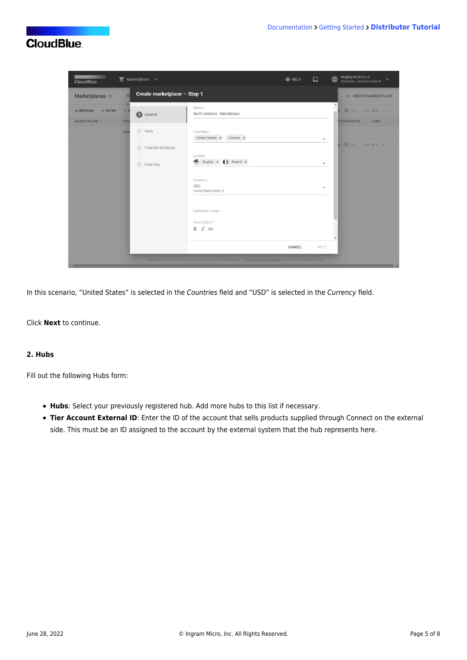| <b>CloudBlue</b>                                | <b>Marketplaces</b> $\vee$                                                                                                                                                                                                                                               | <b>Mighty Mick's LLC</b><br>$\bigoplus$<br>$\Box$<br><b>O</b> HELP<br>Distributor . Michael Goldmill |
|-------------------------------------------------|--------------------------------------------------------------------------------------------------------------------------------------------------------------------------------------------------------------------------------------------------------------------------|------------------------------------------------------------------------------------------------------|
| Marketplaces ©                                  | Create marketplace - Step 1<br>DI                                                                                                                                                                                                                                        | + CREATE MARKETPLACE                                                                                 |
| <b>C REFRESH</b><br>$=$ FILTER<br>MARKETPLACE v | Name*<br>$71$ S<br>$\Omega$<br>North America - Marketplace<br>General<br>cou                                                                                                                                                                                             | $\blacktriangle$<br>$10 -$<br>$1 - 1$ of $1 \leq$<br><b>E CONTRACTS</b><br><b>HUBS</b>               |
|                                                 | 2 Hubs<br>Countries *<br>Unit<br>United States X Canada X<br>Price list attributes<br>3<br>Locales<br>Æ.<br>English $\times$ ( ) French $\times$<br>Summary<br>$4-$<br>Currency *<br><b>USD</b><br>United States Dollar, \$<br>Upload an image<br>Description*<br>B I GD | $\overline{\phantom{a}}$<br>$10 -$<br>$1 - 1$ of $1 \leq$<br>$\overline{\phantom{a}}$<br>÷           |
|                                                 |                                                                                                                                                                                                                                                                          | CANCEL<br><b>NEXT</b>                                                                                |
| $\overline{a}$                                  | CloudBlue Connect @ 2022 - Ingram Micro Inc. All Rights Reserved. - Privacy   Terms of Service - Version 25.0.1869-g8613f70                                                                                                                                              |                                                                                                      |

In this scenario, "United States" is selected in the Countries field and "USD" is selected in the Currency field.

Click **Next** to continue.

#### **2. Hubs**

Fill out the following Hubs form:

- **Hubs**: Select your previously registered hub. Add more hubs to this list if necessary.
- **Tier Account External ID**: Enter the ID of the account that sells products supplied through Connect on the external side. This must be an ID assigned to the account by the external system that the hub represents here.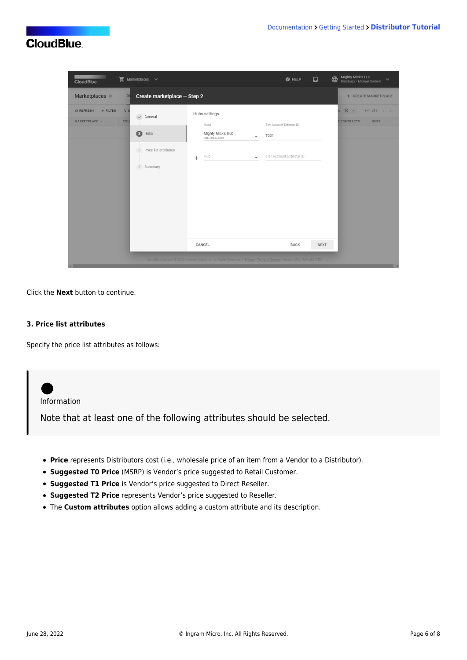| Marketplaces $\vee$<br><b>CloudBlue</b>                                     |                                                                                                        |                                                                                                                                       | $\Box$<br><b>O</b> HELP                                      | <b>Mighty Mick's LLC</b><br>$\bigoplus$<br>$\checkmark$<br>Distributor . Michael Goldmill |
|-----------------------------------------------------------------------------|--------------------------------------------------------------------------------------------------------|---------------------------------------------------------------------------------------------------------------------------------------|--------------------------------------------------------------|-------------------------------------------------------------------------------------------|
| Marketplaces ©<br>DI                                                        | Create marketplace - Step 2                                                                            |                                                                                                                                       |                                                              | + CREATE MARKETPLACE                                                                      |
| <b>C REFRESH</b><br>$\overline{v}$ FILTER<br>$71$ S<br>MARKETPLACE +<br>COU | $\checkmark$ General<br>0<br>Hubs<br>Price list attributes<br>$\mathbf{3}$<br>Summary<br>$\mathcal{A}$ | Hubs settings<br>Hubs<br>Mighty Mick's Hub<br>$\overline{\phantom{a}}$<br>HB-3193-0089<br>Hub<br>$^{+}$<br>$\overline{\phantom{a}}$   | Tier Account External ID<br>T001<br>Tier Account External ID | $10 -$<br>$1 - 1$ of $1 \leq$<br><b>E CONTRACTS</b><br><b>HUBS</b>                        |
| $\overline{a}$                                                              |                                                                                                        | CANCEL<br>CloudBlue Connect © 2022 - Ingram Micro Inc. All Rights Reserved. - Privacy   Terms of Service - Version 25.0.1869-g8613f70 | <b>NEXT</b><br><b>BACK</b>                                   | $\overline{\phantom{a}}$                                                                  |

Click the **Next** button to continue.

#### **3. Price list attributes**

Specify the price list attributes as follows:



- **Suggested T0 Price** (MSRP) is Vendor's price suggested to Retail Customer.
- **Suggested T1 Price** is Vendor's price suggested to Direct Reseller.
- **Suggested T2 Price** represents Vendor's price suggested to Reseller.
- The **Custom attributes** option allows adding a custom attribute and its description.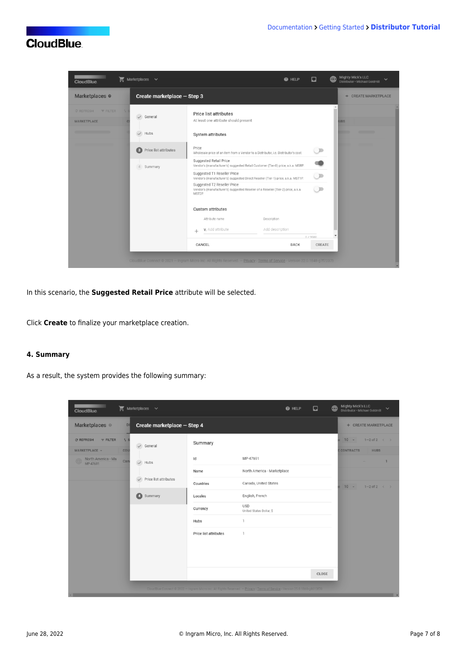

In this scenario, the **Suggested Retail Price** attribute will be selected.

Click **Create** to finalize your marketplace creation.

#### **4. Summary**

As a result, the system provides the following summary:

| <b>CloudBlue</b>                                                    | Marketplaces $\vee$               |                       | $\Box$<br><b>@</b> HELP                                                                                                     | Mighty Mick's LLC<br>Distributor · Michael Goldmill<br>$\bigoplus$<br>$\checkmark$ |
|---------------------------------------------------------------------|-----------------------------------|-----------------------|-----------------------------------------------------------------------------------------------------------------------------|------------------------------------------------------------------------------------|
| Marketplaces ©                                                      | Create marketplace - Step 4<br>DI |                       |                                                                                                                             | + CREATE MARKETPLACE                                                               |
| <b>C REFRESH</b><br>$\overline{\mathbf{v}}$ FILTER<br>MARKETPLACE - | $\tau_1$ S<br>General<br>cou      | Summary               |                                                                                                                             | $1-2$ of 2 $\leftarrow$ ><br>$10 - -$<br><b>ECONTRACTS</b><br><b>HUBS</b>          |
| North America - Ma                                                  | Can<br>$\vee$ Hubs                | Id                    | MP-47691                                                                                                                    | $\mathbf{1}$<br>-                                                                  |
|                                                                     |                                   | Name                  | North America - Marketplace                                                                                                 |                                                                                    |
|                                                                     | Price list attributes             | Countries             | Canada, United States                                                                                                       | $10 -$<br>$1-2$ of $2 \leftarrow$                                                  |
|                                                                     | $\bullet$<br>Summary              | Locales               | English, French                                                                                                             |                                                                                    |
|                                                                     |                                   | Currency              | <b>USD</b><br>United States Dollar, \$                                                                                      |                                                                                    |
|                                                                     |                                   | Hubs                  | $\mathbf{1}$                                                                                                                |                                                                                    |
|                                                                     |                                   | Price list attributes | $\mathbf{1}$                                                                                                                |                                                                                    |
|                                                                     |                                   |                       | CLOSE                                                                                                                       |                                                                                    |
|                                                                     |                                   |                       | CloudBlue Connect @ 2022 - Ingram Micro Inc. All Rights Reserved. - Privacy   Terms of Service - Version 25.0.1869-g8513f70 |                                                                                    |